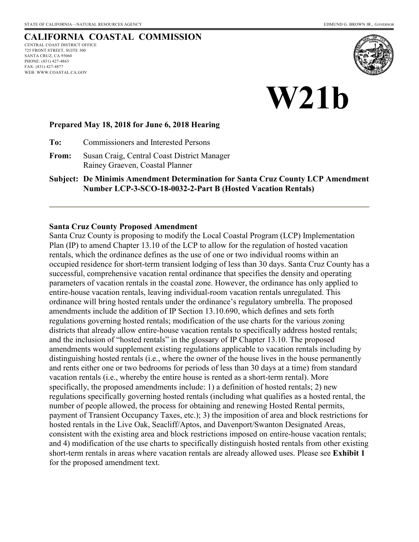# **CALIFORNIA COASTAL COMMISSION**

CENTRAL COAST DISTRICT OFFICE 725 FRONT STREET, SUITE 300 SANTA CRUZ, CA 95060 PHONE: (831) 427-4863 FAX: (831) 427-4877 WEB: WWW.COASTAL.CA.GOV





#### **Prepared May 18, 2018 for June 6, 2018 Hearing**

**To:** Commissioners and Interested Persons

**From:** Susan Craig, Central Coast District Manager Rainey Graeven, Coastal Planner

**Subject: De Minimis Amendment Determination for Santa Cruz County LCP Amendment Number LCP-3-SCO-18-0032-2-Part B (Hosted Vacation Rentals)** 

#### **Santa Cruz County Proposed Amendment**

Santa Cruz County is proposing to modify the Local Coastal Program (LCP) Implementation Plan (IP) to amend Chapter 13.10 of the LCP to allow for the regulation of hosted vacation rentals, which the ordinance defines as the use of one or two individual rooms within an occupied residence for short-term transient lodging of less than 30 days. Santa Cruz County has a successful, comprehensive vacation rental ordinance that specifies the density and operating parameters of vacation rentals in the coastal zone. However, the ordinance has only applied to entire-house vacation rentals, leaving individual-room vacation rentals unregulated. This ordinance will bring hosted rentals under the ordinance's regulatory umbrella. The proposed amendments include the addition of IP Section 13.10.690, which defines and sets forth regulations governing hosted rentals; modification of the use charts for the various zoning districts that already allow entire-house vacation rentals to specifically address hosted rentals; and the inclusion of "hosted rentals" in the glossary of IP Chapter 13.10. The proposed amendments would supplement existing regulations applicable to vacation rentals including by distinguishing hosted rentals (i.e., where the owner of the house lives in the house permanently and rents either one or two bedrooms for periods of less than 30 days at a time) from standard vacation rentals (i.e., whereby the entire house is rented as a short-term rental). More specifically, the proposed amendments include: 1) a definition of hosted rentals; 2) new regulations specifically governing hosted rentals (including what qualifies as a hosted rental, the number of people allowed, the process for obtaining and renewing Hosted Rental permits, payment of Transient Occupancy Taxes, etc.); 3) the imposition of area and block restrictions for hosted rentals in the Live Oak, Seacliff/Aptos, and Davenport/Swanton Designated Areas, consistent with the existing area and block restrictions imposed on entire-house vacation rentals; and 4) modification of the use charts to specifically distinguish hosted rentals from other existing short-term rentals in areas where vacation rentals are already allowed uses. Please see **Exhibit 1**  for the proposed amendment text.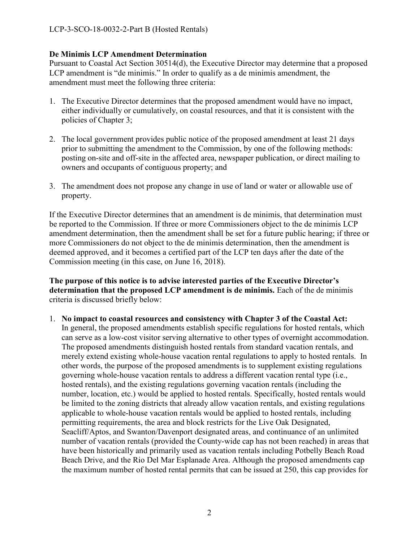### **De Minimis LCP Amendment Determination**

Pursuant to Coastal Act Section 30514(d), the Executive Director may determine that a proposed LCP amendment is "de minimis." In order to qualify as a de minimis amendment, the amendment must meet the following three criteria:

- 1. The Executive Director determines that the proposed amendment would have no impact, either individually or cumulatively, on coastal resources, and that it is consistent with the policies of Chapter 3;
- 2. The local government provides public notice of the proposed amendment at least 21 days prior to submitting the amendment to the Commission, by one of the following methods: posting on-site and off-site in the affected area, newspaper publication, or direct mailing to owners and occupants of contiguous property; and
- 3. The amendment does not propose any change in use of land or water or allowable use of property.

If the Executive Director determines that an amendment is de minimis, that determination must be reported to the Commission. If three or more Commissioners object to the de minimis LCP amendment determination, then the amendment shall be set for a future public hearing; if three or more Commissioners do not object to the de minimis determination, then the amendment is deemed approved, and it becomes a certified part of the LCP ten days after the date of the Commission meeting (in this case, on June 16, 2018).

**The purpose of this notice is to advise interested parties of the Executive Director's determination that the proposed LCP amendment is de minimis.** Each of the de minimis criteria is discussed briefly below:

1. **No impact to coastal resources and consistency with Chapter 3 of the Coastal Act:**  In general, the proposed amendments establish specific regulations for hosted rentals, which can serve as a low-cost visitor serving alternative to other types of overnight accommodation. The proposed amendments distinguish hosted rentals from standard vacation rentals, and merely extend existing whole-house vacation rental regulations to apply to hosted rentals. In other words, the purpose of the proposed amendments is to supplement existing regulations governing whole-house vacation rentals to address a different vacation rental type (i.e., hosted rentals), and the existing regulations governing vacation rentals (including the number, location, etc.) would be applied to hosted rentals. Specifically, hosted rentals would be limited to the zoning districts that already allow vacation rentals, and existing regulations applicable to whole-house vacation rentals would be applied to hosted rentals, including permitting requirements, the area and block restricts for the Live Oak Designated, Seacliff/Aptos, and Swanton/Davenport designated areas, and continuance of an unlimited number of vacation rentals (provided the County-wide cap has not been reached) in areas that have been historically and primarily used as vacation rentals including Potbelly Beach Road Beach Drive, and the Rio Del Mar Esplanade Area. Although the proposed amendments cap the maximum number of hosted rental permits that can be issued at 250, this cap provides for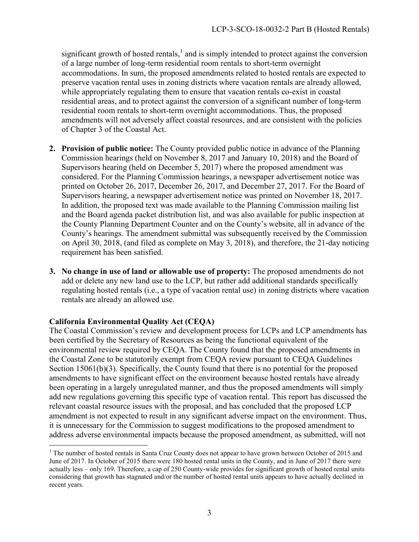significant growth of hosted rentals, $<sup>1</sup>$  and is simply intended to protect against the conversion</sup> of a large number of long-term residential room rentals to short-term overnight accommodations. In sum, the proposed amendments related to hosted rentals are expected to preserve vacation rental uses in zoning districts where vacation rentals are already allowed, while appropriately regulating them to ensure that vacation rentals co-exist in coastal residential areas, and to protect against the conversion of a significant number of long-term residential room rentals to short-term overnight accommodations. Thus, the proposed amendments will not adversely affect coastal resources, and are consistent with the policies of Chapter 3 of the Coastal Act.

- **2. Provision of public notice:** The County provided public notice in advance of the Planning Commission hearings (held on November 8, 2017 and January 10, 2018) and the Board of Supervisors hearing (held on December 5, 2017) where the proposed amendment was considered. For the Planning Commission hearings, a newspaper advertisement notice was printed on October 26, 2017, December 26, 2017, and December 27, 2017. For the Board of Supervisors hearing, a newspaper advertisement notice was printed on November 18, 2017. In addition, the proposed text was made available to the Planning Commission mailing list and the Board agenda packet distribution list, and was also available for public inspection at the County Planning Department Counter and on the County's website, all in advance of the County's hearings. The amendment submittal was subsequently received by the Commission on April 30, 2018, (and filed as complete on May 3, 2018), and therefore, the 21-day noticing requirement has been satisfied.
- **3. No change in use of land or allowable use of property:** The proposed amendments do not add or delete any new land use to the LCP, but rather add additional standards specifically regulating hosted rentals (i.e., a type of vacation rental use) in zoning districts where vacation rentals are already an allowed use.

## **California Environmental Quality Act (CEQA)**

The Coastal Commission's review and development process for LCPs and LCP amendments has been certified by the Secretary of Resources as being the functional equivalent of the environmental review required by CEQA. The County found that the proposed amendments in the Coastal Zone to be statutorily exempt from CEQA review pursuant to CEQA Guidelines Section 15061(b)(3). Specifically, the County found that there is no potential for the proposed amendments to have significant effect on the environment because hosted rentals have already been operating in a largely unregulated manner, and thus the proposed amendments will simply add new regulations governing this specific type of vacation rental. This report has discussed the relevant coastal resource issues with the proposal, and has concluded that the proposed LCP amendment is not expected to result in any significant adverse impact on the environment. Thus, it is unnecessary for the Commission to suggest modifications to the proposed amendment to address adverse environmental impacts because the proposed amendment, as submitted, will not

<sup>&</sup>lt;sup>1</sup> The number of hosted rentals in Santa Cruz County does not appear to have grown between October of 2015 and June of 2017. In October of 2015 there were 180 hosted rental units in the County, and in June of 2017 there were actually less – only 169. Therefore, a cap of 250 County-wide provides for significant growth of hosted rental units considering that growth has stagnated and/or the number of hosted rental units appears to have actually declined in recent years.